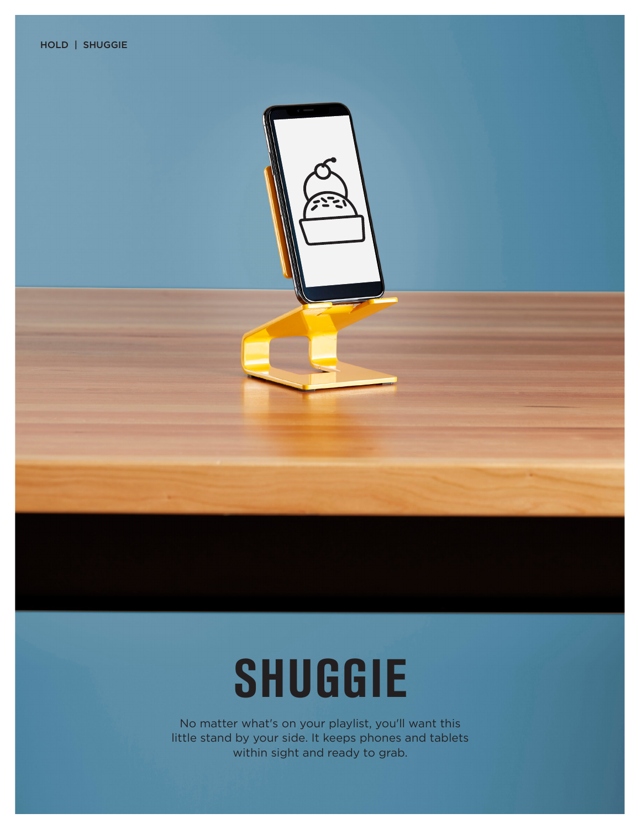

## **SHUGGIE**

No matter what's on your playlist, you'll want this little stand by your side. It keeps phones and tablets within sight and ready to grab.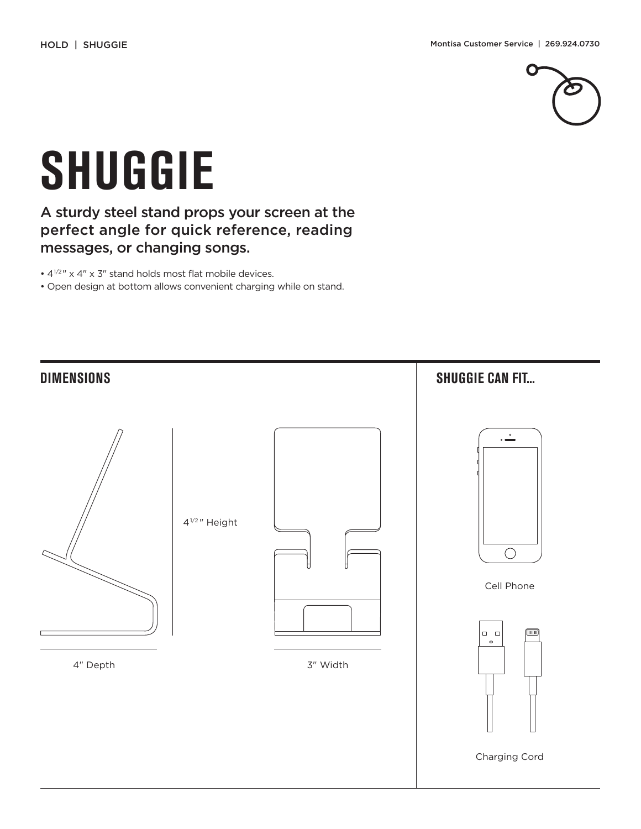

## **SHUGGIE**

## A sturdy steel stand props your screen at the perfect angle for quick reference, reading messages, or changing songs.

•  $4^{1/2}$  " x 4" x 3" stand holds most flat mobile devices.

• Open design at bottom allows convenient charging while on stand.